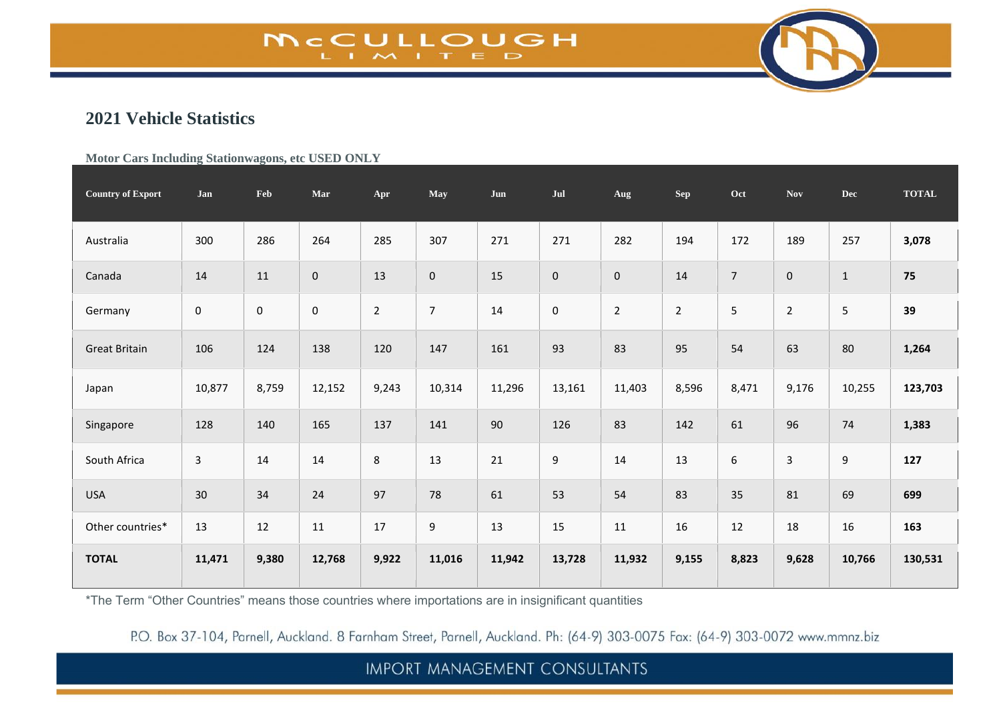# **MCCULLOUGH**

## **2021 Vehicle Statistics**

#### **Motor Cars Including Stationwagons, etc USED ONLY**

| <b>Country of Export</b> | Jan            | Feb         | Mar       | Apr            | May              | Jun    | Jul            | Aug            | <b>Sep</b>     | Oct            | <b>Nov</b>     | <b>Dec</b> | <b>TOTAL</b> |
|--------------------------|----------------|-------------|-----------|----------------|------------------|--------|----------------|----------------|----------------|----------------|----------------|------------|--------------|
| Australia                | 300            | 286         | 264       | 285            | 307              | 271    | 271            | 282            | 194            | 172            | 189            | 257        | 3,078        |
| Canada                   | 14             | 11          | $\pmb{0}$ | 13             | $\pmb{0}$        | 15     | $\mathbf 0$    | 0              | 14             | $\overline{7}$ | $\pmb{0}$      | $1\,$      | 75           |
| Germany                  | $\pmb{0}$      | $\mathbf 0$ | $\pmb{0}$ | $\overline{2}$ | $\overline{7}$   | 14     | $\mathbf 0$    | $\overline{2}$ | $\overline{2}$ | 5              | $\overline{2}$ | 5          | 39           |
| <b>Great Britain</b>     | 106            | 124         | 138       | 120            | 147              | 161    | 93             | 83             | 95             | 54             | 63             | 80         | 1,264        |
| Japan                    | 10,877         | 8,759       | 12,152    | 9,243          | 10,314           | 11,296 | 13,161         | 11,403         | 8,596          | 8,471          | 9,176          | 10,255     | 123,703      |
| Singapore                | 128            | 140         | 165       | 137            | 141              | $90\,$ | 126            | 83             | 142            | 61             | 96             | 74         | 1,383        |
| South Africa             | $\overline{3}$ | 14          | 14        | $\,8\,$        | 13               | 21     | $\overline{9}$ | 14             | 13             | 6              | $\overline{3}$ | 9          | 127          |
| <b>USA</b>               | 30             | 34          | 24        | 97             | 78               | 61     | 53             | 54             | 83             | 35             | 81             | 69         | 699          |
| Other countries*         | 13             | 12          | 11        | 17             | $\boldsymbol{9}$ | 13     | 15             | 11             | 16             | 12             | 18             | 16         | 163          |
| <b>TOTAL</b>             | 11,471         | 9,380       | 12,768    | 9,922          | 11,016           | 11,942 | 13,728         | 11,932         | 9,155          | 8,823          | 9,628          | 10,766     | 130,531      |

\*The Term "Other Countries" means those countries where importations are in insignificant quantities

P.O. Box 37-104, Parnell, Auckland. 8 Farnham Street, Parnell, Auckland. Ph: (64-9) 303-0075 Fax: (64-9) 303-0072 www.mmnz.biz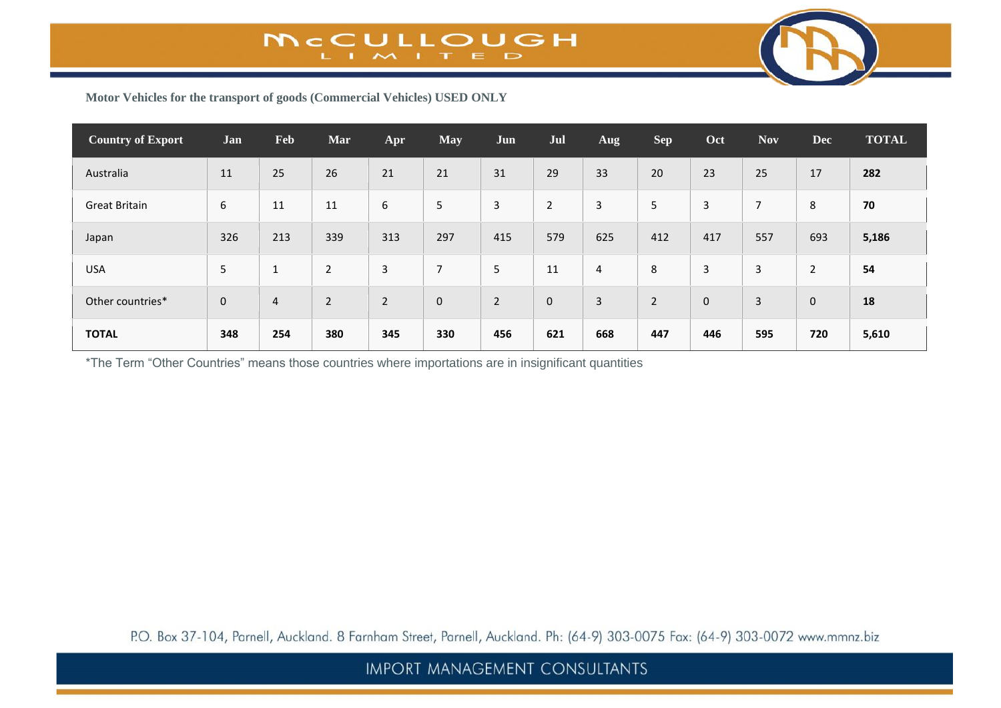

**Motor Vehicles for the transport of goods (Commercial Vehicles) USED ONLY**

| <b>Country of Export</b> | Jan         | Feb            | Mar            | Apr            | <b>May</b>     | Jun            | Jul            | Aug | <b>Sep</b>     | Oct         | <b>Nov</b>     | <b>Dec</b>   | <b>TOTAL</b> |
|--------------------------|-------------|----------------|----------------|----------------|----------------|----------------|----------------|-----|----------------|-------------|----------------|--------------|--------------|
| Australia                | 11          | 25             | 26             | 21             | 21             | 31             | 29             | 33  | 20             | 23          | 25             | 17           | 282          |
| <b>Great Britain</b>     | 6           | 11             | 11             | 6              | 5              | 3              | $\overline{2}$ | 3   | 5              | 3           | 7              | 8            | 70           |
| Japan                    | 326         | 213            | 339            | 313            | 297            | 415            | 579            | 625 | 412            | 417         | 557            | 693          | 5,186        |
| <b>USA</b>               | 5           | $\mathbf{1}$   | $\overline{2}$ | 3              | $\overline{7}$ | 5              | 11             | 4   | 8              | 3           | 3              | 2            | 54           |
| Other countries*         | $\mathbf 0$ | $\overline{4}$ | $\overline{2}$ | $\overline{2}$ | $\mathbf 0$    | $\overline{2}$ | $\mathbf 0$    | 3   | $\overline{2}$ | $\mathbf 0$ | $\overline{3}$ | $\mathbf{0}$ | 18           |
| <b>TOTAL</b>             | 348         | 254            | 380            | 345            | 330            | 456            | 621            | 668 | 447            | 446         | 595            | 720          | 5,610        |

\*The Term "Other Countries" means those countries where importations are in insignificant quantities

P.O. Box 37-104, Parnell, Auckland. 8 Farnham Street, Parnell, Auckland. Ph: (64-9) 303-0075 Fax: (64-9) 303-0072 www.mmnz.biz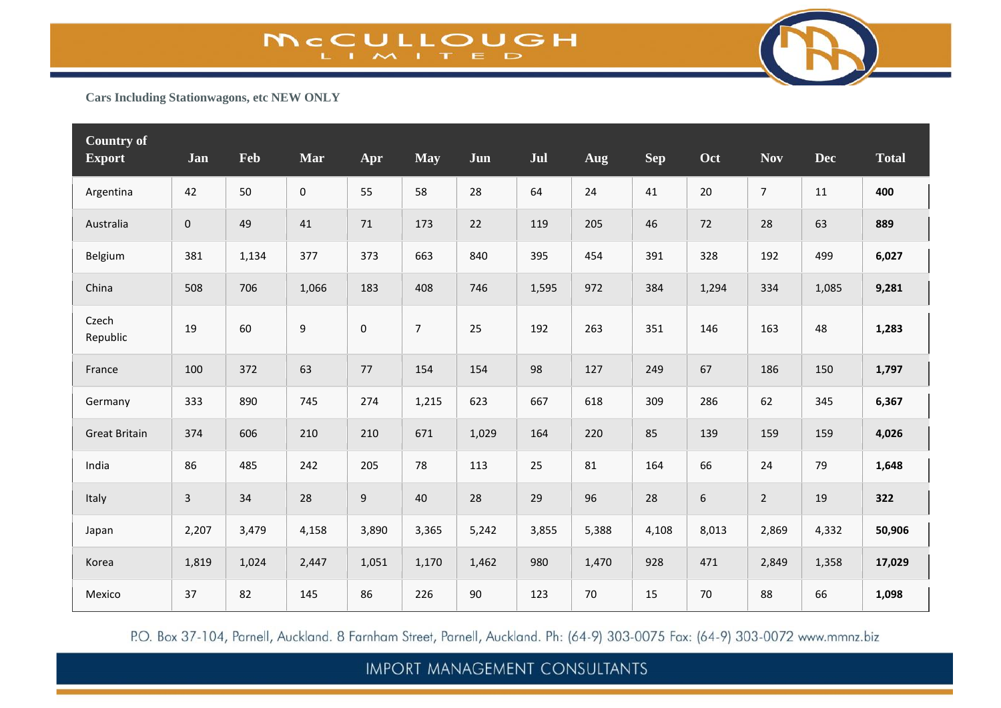

**Cars Including Stationwagons, etc NEW ONLY**

| <b>Country of</b><br><b>Export</b> | Jan                 | Feb   | Mar                 | Apr            | <b>May</b>     | Jun   | Jul   | Aug    | Sep   | Oct   | <b>Nov</b>     | <b>Dec</b> | <b>Total</b> |
|------------------------------------|---------------------|-------|---------------------|----------------|----------------|-------|-------|--------|-------|-------|----------------|------------|--------------|
| Argentina                          | 42                  | 50    | $\mathsf{O}\xspace$ | 55             | 58             | 28    | 64    | 24     | 41    | 20    | $\overline{7}$ | 11         | 400          |
| Australia                          | $\mathsf{O}\xspace$ | 49    | 41                  | 71             | 173            | 22    | 119   | 205    | 46    | 72    | 28             | 63         | 889          |
| Belgium                            | 381                 | 1,134 | 377                 | 373            | 663            | 840   | 395   | 454    | 391   | 328   | 192            | 499        | 6,027        |
| China                              | 508                 | 706   | 1,066               | 183            | 408            | 746   | 1,595 | 972    | 384   | 1,294 | 334            | 1,085      | 9,281        |
| Czech<br>Republic                  | 19                  | 60    | $\boldsymbol{9}$    | $\pmb{0}$      | $\overline{7}$ | 25    | 192   | 263    | 351   | 146   | 163            | 48         | 1,283        |
| France                             | 100                 | 372   | 63                  | 77             | 154            | 154   | 98    | 127    | 249   | 67    | 186            | 150        | 1,797        |
| Germany                            | 333                 | 890   | 745                 | 274            | 1,215          | 623   | 667   | 618    | 309   | 286   | 62             | 345        | 6,367        |
| <b>Great Britain</b>               | 374                 | 606   | 210                 | 210            | 671            | 1,029 | 164   | 220    | 85    | 139   | 159            | 159        | 4,026        |
| India                              | 86                  | 485   | 242                 | 205            | 78             | 113   | 25    | 81     | 164   | 66    | 24             | 79         | 1,648        |
| Italy                              | $\mathbf{3}$        | 34    | 28                  | $\overline{9}$ | 40             | 28    | 29    | 96     | 28    | $6\,$ | $\overline{2}$ | 19         | 322          |
| Japan                              | 2,207               | 3,479 | 4,158               | 3,890          | 3,365          | 5,242 | 3,855 | 5,388  | 4,108 | 8,013 | 2,869          | 4,332      | 50,906       |
| Korea                              | 1,819               | 1,024 | 2,447               | 1,051          | 1,170          | 1,462 | 980   | 1,470  | 928   | 471   | 2,849          | 1,358      | 17,029       |
| Mexico                             | 37                  | 82    | 145                 | 86             | 226            | 90    | 123   | $70\,$ | 15    | 70    | 88             | 66         | 1,098        |

P.O. Box 37-104, Parnell, Auckland. 8 Farnham Street, Parnell, Auckland. Ph: (64-9) 303-0075 Fax: (64-9) 303-0072 www.mmnz.biz